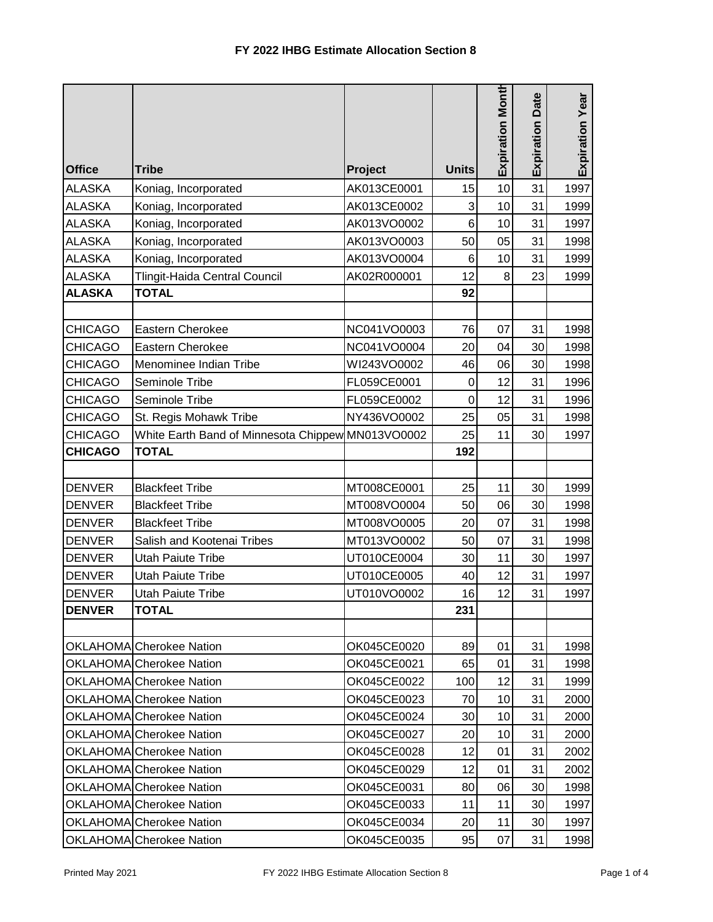|                |                                                   |             |              | <b>Expiration Month</b> | <b>Expiration Date</b> | Expiration Year |
|----------------|---------------------------------------------------|-------------|--------------|-------------------------|------------------------|-----------------|
| <b>Office</b>  | <b>Tribe</b>                                      | Project     | <b>Units</b> |                         |                        |                 |
| <b>ALASKA</b>  | Koniag, Incorporated                              | AK013CE0001 | 15           | 10                      | 31                     | 1997            |
| <b>ALASKA</b>  | Koniag, Incorporated                              | AK013CE0002 | 3            | 10                      | 31                     | 1999            |
| <b>ALASKA</b>  | Koniag, Incorporated                              | AK013VO0002 | 6            | 10                      | 31                     | 1997            |
| <b>ALASKA</b>  | Koniag, Incorporated                              | AK013VO0003 | 50           | 05                      | 31                     | 1998            |
| <b>ALASKA</b>  | Koniag, Incorporated                              | AK013VO0004 | 6            | 10                      | 31                     | 1999            |
| <b>ALASKA</b>  | Tlingit-Haida Central Council                     | AK02R000001 | 12           | 8                       | 23                     | 1999            |
| <b>ALASKA</b>  | <b>TOTAL</b>                                      |             | 92           |                         |                        |                 |
|                |                                                   |             |              |                         |                        |                 |
| <b>CHICAGO</b> | <b>Eastern Cherokee</b>                           | NC041VO0003 | 76           | 07                      | 31                     | 1998            |
| <b>CHICAGO</b> | Eastern Cherokee                                  | NC041VO0004 | 20           | 04                      | 30                     | 1998            |
| <b>CHICAGO</b> | Menominee Indian Tribe                            | WI243VO0002 | 46           | 06                      | 30                     | 1998            |
| <b>CHICAGO</b> | Seminole Tribe                                    | FL059CE0001 | $\mathbf 0$  | 12                      | 31                     | 1996            |
| <b>CHICAGO</b> | Seminole Tribe                                    | FL059CE0002 | 0            | 12                      | 31                     | 1996            |
| <b>CHICAGO</b> | St. Regis Mohawk Tribe                            | NY436VO0002 | 25           | 05                      | 31                     | 1998            |
| <b>CHICAGO</b> | White Earth Band of Minnesota Chippew MN013VO0002 |             | 25           | 11                      | 30                     | 1997            |
| <b>CHICAGO</b> | <b>TOTAL</b>                                      |             | 192          |                         |                        |                 |
|                |                                                   |             |              |                         |                        |                 |
| <b>DENVER</b>  | <b>Blackfeet Tribe</b>                            | MT008CE0001 | 25           | 11                      | 30                     | 1999            |
| <b>DENVER</b>  | <b>Blackfeet Tribe</b>                            | MT008VO0004 | 50           | 06                      | 30                     | 1998            |
| <b>DENVER</b>  | <b>Blackfeet Tribe</b>                            | MT008VO0005 | 20           | 07                      | 31                     | 1998            |
| <b>DENVER</b>  | Salish and Kootenai Tribes                        | MT013VO0002 | 50           | 07                      | 31                     | 1998            |
| <b>DENVER</b>  | <b>Utah Paiute Tribe</b>                          | UT010CE0004 | 30           | 11                      | 30                     | 1997            |
| <b>DENVER</b>  | <b>Utah Paiute Tribe</b>                          | UT010CE0005 | 40           | 12                      | 31                     | 1997            |
| <b>DENVER</b>  | <b>Utah Paiute Tribe</b>                          | UT010VO0002 | 16           | 12                      | 31                     | 1997            |
| <b>DENVER</b>  | <b>TOTAL</b>                                      |             | 231          |                         |                        |                 |
|                |                                                   |             |              |                         |                        |                 |
|                | OKLAHOMA Cherokee Nation                          | OK045CE0020 | 89           | 01                      | 31                     | 1998            |
|                | OKLAHOMA Cherokee Nation                          | OK045CE0021 | 65           | 01                      | 31                     | 1998            |
|                | OKLAHOMA Cherokee Nation                          | OK045CE0022 | 100          | 12                      | 31                     | 1999            |
|                | OKLAHOMA Cherokee Nation                          | OK045CE0023 | 70           | 10                      | 31                     | 2000            |
|                | OKLAHOMA Cherokee Nation                          | OK045CE0024 | 30           | 10                      | 31                     | 2000            |
|                | OKLAHOMA Cherokee Nation                          | OK045CE0027 | 20           | 10                      | 31                     | 2000            |
|                | OKLAHOMA Cherokee Nation                          | OK045CE0028 | 12           | 01                      | 31                     | 2002            |
|                | OKLAHOMA Cherokee Nation                          | OK045CE0029 | 12           | 01                      | 31                     | 2002            |
|                | <b>OKLAHOMA</b> Cherokee Nation                   | OK045CE0031 | 80           | 06                      | 30                     | 1998            |
|                | <b>OKLAHOMA</b> Cherokee Nation                   | OK045CE0033 | 11           | 11                      | 30                     | 1997            |
|                | OKLAHOMA Cherokee Nation                          | OK045CE0034 | 20           | 11                      | 30                     | 1997            |
|                | OKLAHOMA Cherokee Nation                          | OK045CE0035 | 95           | 07                      | 31                     | 1998            |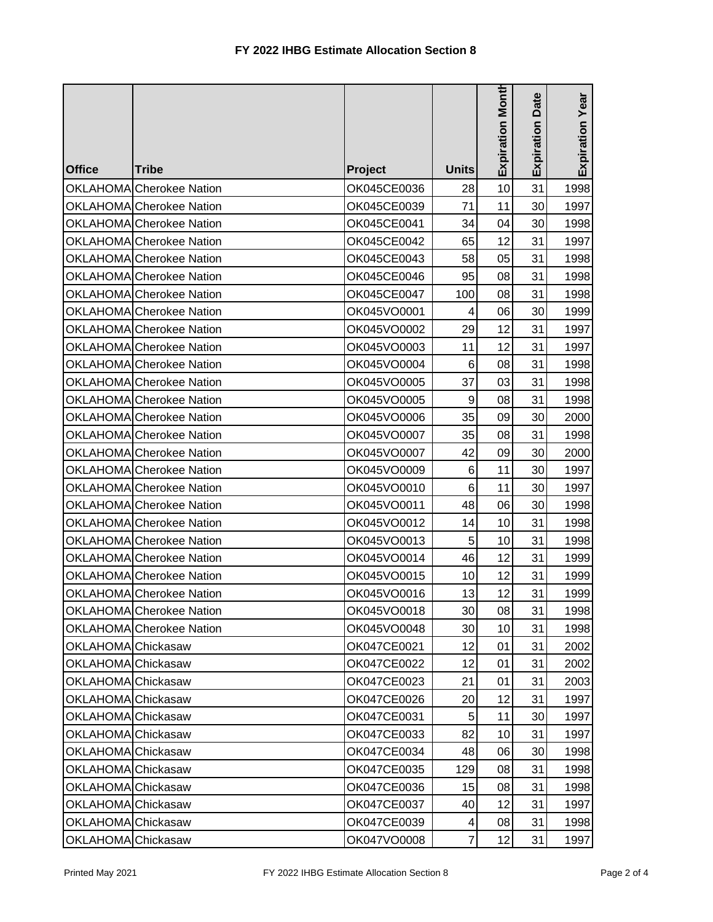|                    |                                 |             |              |                         | Date       |                 |
|--------------------|---------------------------------|-------------|--------------|-------------------------|------------|-----------------|
| <b>Office</b>      | <b>Tribe</b>                    | Project     | <b>Units</b> | <b>Expiration Month</b> | Expiration | Expiration Year |
|                    | OKLAHOMA Cherokee Nation        | OK045CE0036 | 28           | 10                      | 31         | 1998            |
|                    | OKLAHOMA Cherokee Nation        | OK045CE0039 | 71           | 11                      | 30         | 1997            |
|                    | OKLAHOMA Cherokee Nation        | OK045CE0041 | 34           | 04                      | 30         | 1998            |
|                    | OKLAHOMA Cherokee Nation        | OK045CE0042 | 65           | 12                      | 31         | 1997            |
|                    | OKLAHOMA Cherokee Nation        | OK045CE0043 | 58           | 05                      | 31         | 1998            |
|                    | OKLAHOMA Cherokee Nation        | OK045CE0046 | 95           | 08                      | 31         | 1998            |
|                    | OKLAHOMA Cherokee Nation        | OK045CE0047 | 100          | 08                      | 31         | 1998            |
|                    | OKLAHOMA Cherokee Nation        | OK045VO0001 | 4            | 06                      | 30         | 1999            |
|                    | OKLAHOMA Cherokee Nation        | OK045VO0002 | 29           | 12                      | 31         | 1997            |
|                    | OKLAHOMA Cherokee Nation        | OK045VO0003 | 11           | 12                      | 31         | 1997            |
|                    | <b>OKLAHOMA</b> Cherokee Nation | OK045VO0004 | 6            | 08                      | 31         | 1998            |
|                    | OKLAHOMA Cherokee Nation        | OK045VO0005 | 37           | 03                      | 31         | 1998            |
|                    | OKLAHOMA Cherokee Nation        | OK045VO0005 | 9            | 08                      | 31         | 1998            |
|                    | OKLAHOMA Cherokee Nation        | OK045VO0006 | 35           | 09                      | 30         | 2000            |
|                    | OKLAHOMA Cherokee Nation        | OK045VO0007 | 35           | 08                      | 31         | 1998            |
|                    | OKLAHOMA Cherokee Nation        | OK045VO0007 | 42           | 09                      | 30         | 2000            |
|                    | OKLAHOMA Cherokee Nation        | OK045VO0009 | 6            | 11                      | 30         | 1997            |
|                    | OKLAHOMA Cherokee Nation        | OK045VO0010 | 6            | 11                      | 30         | 1997            |
|                    | OKLAHOMA Cherokee Nation        | OK045VO0011 | 48           | 06                      | 30         | 1998            |
|                    | OKLAHOMA Cherokee Nation        | OK045VO0012 | 14           | 10                      | 31         | 1998            |
|                    | OKLAHOMA Cherokee Nation        | OK045VO0013 | 5            | 10                      | 31         | 1998            |
|                    | OKLAHOMA Cherokee Nation        | OK045VO0014 | 46           | 12                      | 31         | 1999            |
|                    | OKLAHOMA Cherokee Nation        | OK045VO0015 | 10           | 12                      | 31         | 1999            |
|                    | OKLAHOMA Cherokee Nation        | OK045VO0016 | 13           | 12                      | 31         | 1999            |
|                    | OKLAHOMA Cherokee Nation        | OK045VO0018 | 30           | 08                      | 31         | 1998            |
|                    | OKLAHOMA Cherokee Nation        | OK045VO0048 | 30           | 10                      | 31         | 1998            |
| OKLAHOMA Chickasaw |                                 | OK047CE0021 | 12           | 01                      | 31         | 2002            |
| OKLAHOMA Chickasaw |                                 | OK047CE0022 | 12           | 01                      | 31         | 2002            |
| OKLAHOMA Chickasaw |                                 | OK047CE0023 | 21           | 01                      | 31         | 2003            |
| OKLAHOMA Chickasaw |                                 | OK047CE0026 | 20           | 12                      | 31         | 1997            |
| OKLAHOMA Chickasaw |                                 | OK047CE0031 | 5            | 11                      | 30         | 1997            |
| OKLAHOMA Chickasaw |                                 | OK047CE0033 | 82           | 10                      | 31         | 1997            |
| OKLAHOMA Chickasaw |                                 | OK047CE0034 | 48           | 06                      | 30         | 1998            |
| OKLAHOMA Chickasaw |                                 | OK047CE0035 | 129          | 08                      | 31         | 1998            |
| OKLAHOMA Chickasaw |                                 | OK047CE0036 | 15           | 08                      | 31         | 1998            |
| OKLAHOMA Chickasaw |                                 | OK047CE0037 | 40           | 12                      | 31         | 1997            |
| OKLAHOMA Chickasaw |                                 | OK047CE0039 | 4            | 08                      | 31         | 1998            |
| OKLAHOMA Chickasaw |                                 | OK047VO0008 | 7            | 12                      | 31         | 1997            |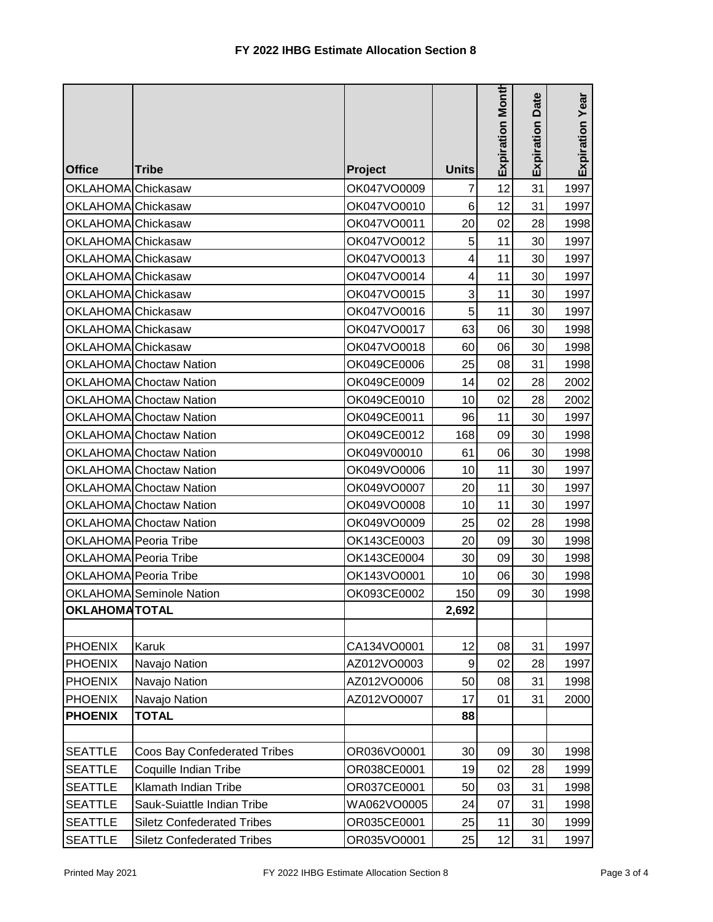| <b>Office</b>        | <b>Tribe</b>                        | Project     | <b>Units</b> | Expiration Month | <b>Expiration Date</b> | Expiration Year |
|----------------------|-------------------------------------|-------------|--------------|------------------|------------------------|-----------------|
| OKLAHOMA Chickasaw   |                                     | OK047VO0009 | 7            | 12               | 31                     | 1997            |
| OKLAHOMA Chickasaw   |                                     | OK047VO0010 | 6            | 12               | 31                     | 1997            |
| OKLAHOMA Chickasaw   |                                     | OK047VO0011 | 20           | 02               | 28                     | 1998            |
| OKLAHOMA Chickasaw   |                                     | OK047VO0012 | 5            | 11               | 30                     | 1997            |
| OKLAHOMA Chickasaw   |                                     | OK047VO0013 | 4            | 11               | 30                     | 1997            |
| OKLAHOMA Chickasaw   |                                     | OK047VO0014 | 4            | 11               | 30                     | 1997            |
| OKLAHOMA Chickasaw   |                                     | OK047VO0015 | 3            | 11               | 30                     | 1997            |
| OKLAHOMA Chickasaw   |                                     | OK047VO0016 | 5            | 11               | 30                     | 1997            |
| OKLAHOMA Chickasaw   |                                     | OK047VO0017 | 63           | 06               | 30                     | 1998            |
| OKLAHOMA Chickasaw   |                                     | OK047VO0018 | 60           | 06               | 30                     | 1998            |
|                      | OKLAHOMA Choctaw Nation             | OK049CE0006 | 25           | 08               | 31                     | 1998            |
|                      | OKLAHOMA Choctaw Nation             | OK049CE0009 | 14           | 02               | 28                     | 2002            |
|                      | OKLAHOMA Choctaw Nation             | OK049CE0010 | 10           | 02               | 28                     | 2002            |
|                      | <b>OKLAHOMA</b> Choctaw Nation      | OK049CE0011 | 96           | 11               | 30                     | 1997            |
|                      | <b>OKLAHOMA</b> Choctaw Nation      | OK049CE0012 | 168          | 09               | 30                     | 1998            |
|                      | <b>OKLAHOMA</b> Choctaw Nation      | OK049V00010 | 61           | 06               | 30                     | 1998            |
|                      | <b>OKLAHOMA</b> Choctaw Nation      | OK049VO0006 | 10           | 11               | 30                     | 1997            |
|                      | <b>OKLAHOMA</b> Choctaw Nation      | OK049VO0007 | 20           | 11               | 30                     | 1997            |
|                      | OKLAHOMA Choctaw Nation             | OK049VO0008 | 10           | 11               | 30                     | 1997            |
|                      | <b>OKLAHOMA</b> Choctaw Nation      | OK049VO0009 | 25           | 02               | 28                     | 1998            |
|                      | OKLAHOMA Peoria Tribe               | OK143CE0003 | 20           | 09               | 30                     | 1998            |
|                      | OKLAHOMA Peoria Tribe               | OK143CE0004 | 30           | 09               | 30                     | 1998            |
|                      | OKLAHOMA Peoria Tribe               | OK143VO0001 | 10           | 06               | 30                     | 1998            |
|                      | <b>OKLAHOMA</b> Seminole Nation     | OK093CE0002 | 150          | 09               | 30                     | 1998            |
| <b>OKLAHOMATOTAL</b> |                                     |             | 2,692        |                  |                        |                 |
|                      |                                     |             |              |                  |                        |                 |
| <b>PHOENIX</b>       | Karuk                               | CA134VO0001 | 12           | 08               | 31                     | 1997            |
| <b>PHOENIX</b>       | Navajo Nation                       | AZ012VO0003 | 9            | 02               | 28                     | 1997            |
| <b>PHOENIX</b>       | Navajo Nation                       | AZ012VO0006 | 50           | 08               | 31                     | 1998            |
| <b>PHOENIX</b>       | Navajo Nation                       | AZ012VO0007 | 17           | 01               | 31                     | 2000            |
| <b>PHOENIX</b>       | <b>TOTAL</b>                        |             | 88           |                  |                        |                 |
|                      |                                     |             |              |                  |                        |                 |
| <b>SEATTLE</b>       | <b>Coos Bay Confederated Tribes</b> | OR036VO0001 | 30           | 09               | 30                     | 1998            |
| <b>SEATTLE</b>       | Coquille Indian Tribe               | OR038CE0001 | 19           | 02               | 28                     | 1999            |
| <b>SEATTLE</b>       | Klamath Indian Tribe                | OR037CE0001 | 50           | 03               | 31                     | 1998            |
| <b>SEATTLE</b>       | Sauk-Suiattle Indian Tribe          | WA062VO0005 | 24           | 07               | 31                     | 1998            |
| <b>SEATTLE</b>       | <b>Siletz Confederated Tribes</b>   | OR035CE0001 | 25           | 11               | 30                     | 1999            |
| <b>SEATTLE</b>       | <b>Siletz Confederated Tribes</b>   | OR035VO0001 | 25           | 12               | 31                     | 1997            |